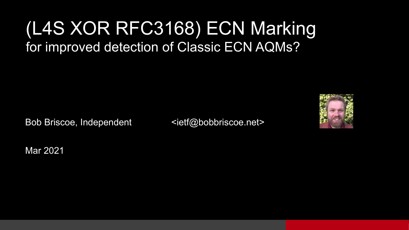#### (L4S XOR RFC3168) ECN Marking for improved detection of Classic ECN AQMs?

Bob Briscoe, Independent <ietf@bobbriscoe.net>



Mar 2021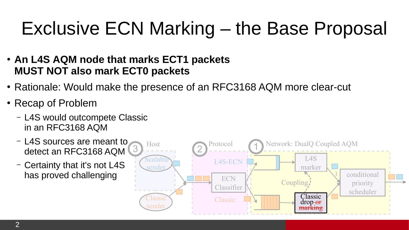### Exclusive ECN Marking – the Base Proposal

- **An L4S AQM node that marks ECT1 packets MUST NOT also mark ECT0 packets**
- Rationale: Would make the presence of an RFC3168 AQM more clear-cut
- Recap of Problem
	- L4S would outcompete Classic in an RFC3168 AQM
	- L4S sources are meant to detect an RFC3168 AQM
	- Certainty that it's not L4S has proved challenging

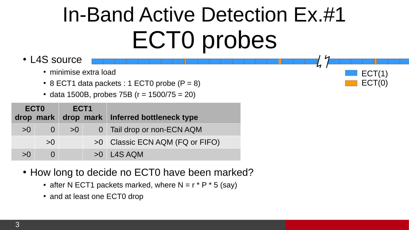### In-Band Active Detection Ex.#1 ECT0 probes

ECT(1) ECT(0)

- L4S source
	- minimise extra load
	- $\cdot$  8 ECT1 data packets : 1 ECT0 probe (P = 8)
	- data 1500B, probes 75B ( $r = 1500/75 = 20$ )

| ECT <sub>0</sub><br>drop mark |              | ECT1<br>drop mark |  | Inferred bottleneck type        |
|-------------------------------|--------------|-------------------|--|---------------------------------|
| >0                            | $\mathbf{O}$ | >0                |  | 0 Tail drop or non-ECN AQM      |
|                               | >0           |                   |  | >0 Classic ECN AQM (FQ or FIFO) |
| >0                            |              |                   |  | $>0$ L4S AQM                    |

- How long to decide no ECT0 have been marked?
	- after N ECT1 packets marked, where N =  $r * P * 5$  (say)
	- and at least one ECT0 drop

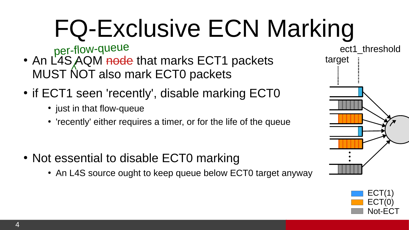# FQ-Exclusive ECN Marking

per-flow-queue

- An L4S AQM <del>node</del> that marks ECT1 packets MUST NOT also mark ECT0 packets
- if ECT1 seen 'recently', disable marking ECT0
	- just in that flow-queue
	- 'recently' either requires a timer, or for the life of the queue
- Not essential to disable ECT0 marking
	- An L4S source ought to keep queue below ECT0 target anyway



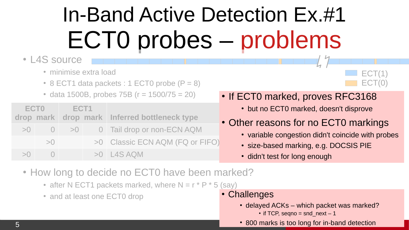## In-Band Active Detection Ex.#1 ECT0 probes – problems

#### • L4S source

- minimise extra load
- $\cdot$  8 ECT1 data packets : 1 ECT0 probe (P = 8)
- $\cdot$  data 1500B, probes 75B ( $r = 1500/75 = 20$ )

| ECT <sub>0</sub> | ECT1 | drop mark drop mark Inferred bottleneck type |
|------------------|------|----------------------------------------------|
|                  |      | $>0$ 0 $>0$ 0 Tail drop or non-ECN AQM       |
| >()              |      | >0 Classic ECN AQM (FQ or FIFO)              |
| $>0$ 0           |      | >0 L4S AOM                                   |

#### • If ECT0 marked, proves RFC3168

- but no ECT0 marked, doesn't disprove
- Other reasons for no ECT0 markings
	- variable congestion didn't coincide with probes

 $ECT(1)$ ECT(0)

- size-based marking, e.g. DOCSIS PIE
- didn't test for long enough
- How long to decide no ECT0 have been marked?
	- after N ECT1 packets marked, where N =  $r * P * 5$  (say)
	- and at least one ECT0 drop

#### • Challenges

- delayed ACKs which packet was marked?
	- $\cdot$  if TCP, seqno = snd next 1
- 800 marks is too long for in-band detection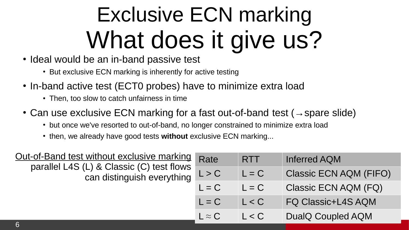## Exclusive ECN marking What does it give us?

- Ideal would be an in-band passive test
	- But exclusive ECN marking is inherently for active testing
- In-band active test (ECT0 probes) have to minimize extra load
	- Then, too slow to catch unfairness in time
- Can use exclusive ECN marking for a fast out-of-band test ( $\rightarrow$ spare slide)
	- but once we've resorted to out-of-band, no longer constrained to minimize extra load
	- then, we already have good tests without exclusive ECN marking...

| Out-of-Band test without exclusive marking Rate                                 |               | <b>RTT</b> | Inferred AQM                  |
|---------------------------------------------------------------------------------|---------------|------------|-------------------------------|
| parallel L4S (L) & Classic (C) test flows<br>can distinguish everything $L > C$ |               | $L = C$    | <b>Classic ECN AQM (FIFO)</b> |
|                                                                                 | $L = C$       | $L = C$    | Classic ECN AQM (FQ)          |
|                                                                                 | $L = C$       | L < C      | <b>FO Classic+L4S AQM</b>     |
|                                                                                 | $L \approx C$ | L < C      | DualQ Coupled AQM             |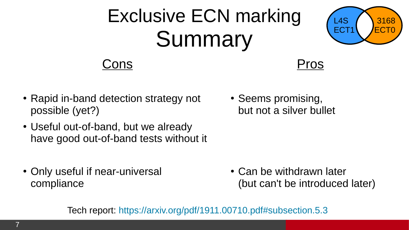### Exclusive ECN marking Summary



#### Cons



- Rapid in-band detection strategy not possible (yet?)
- Useful out-of-band, but we already have good out-of-band tests without it
- Only useful if near-universal compliance

• Seems promising, but not a silver bullet

• Can be withdrawn later (but can't be introduced later)

Tech report: <https://arxiv.org/pdf/1911.00710.pdf#subsection.5.3>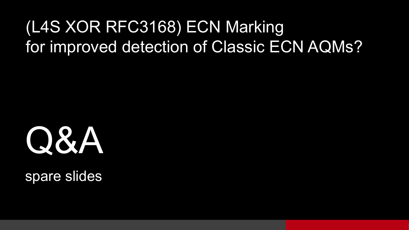### (L4S XOR RFC3168) ECN Marking for improved detection of Classic ECN AQMs?



spare slides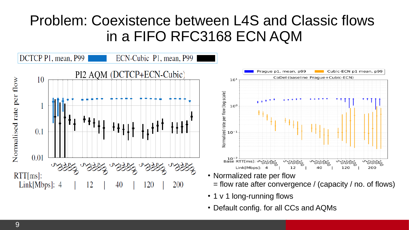#### Problem: Coexistence between L4S and Classic flows in a FIFO RFC3168 ECN AQM



• Default config. for all CCs and AQMs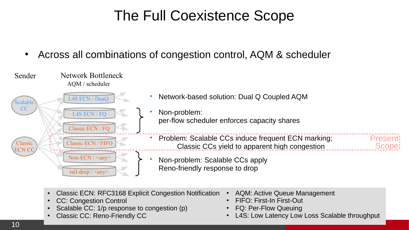#### The Full Coexistence Scope

• Across all combinations of congestion control, AQM & scheduler



- Classic ECN: RFC3168 Explicit Congestion Notification
- CC: Congestion Control
- Scalable CC: 1/p response to congestion (p)
- Classic CC: Reno-Friendly CC
- AQM: Active Queue Management
- FIFO: First-In First-Out
- FO: Per-Flow Oueuing
- L4S: Low Latency Low Loss Scalable throughput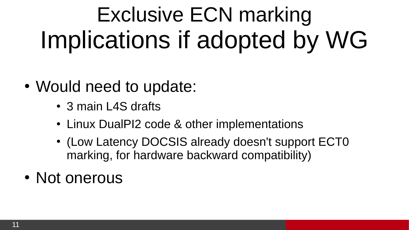# Exclusive ECN marking Implications if adopted by WG

- Would need to update:
	- 3 main L4S drafts
	- Linux DualPI2 code & other implementations
	- (Low Latency DOCSIS already doesn't support ECT0 marking, for hardware backward compatibility)
- Not onerous